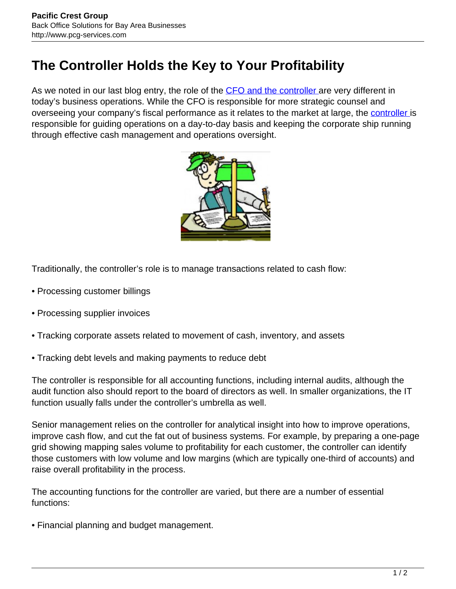## **The Controller Holds the Key to Your Profitability**

As we noted in our last blog entry, the role of the [CFO and the controller](http://www.pcg-services.com/services/accounting/interim-cfo-controller/) are very different in today's business operations. While the CFO is responsible for more strategic counsel and overseeing your company's fiscal performance as it relates to the market at large, the [controller i](http://www.pcg-services.com/services/accounting/interim-cfo-controller/)s responsible for guiding operations on a day-to-day basis and keeping the corporate ship running through effective cash management and operations oversight.



Traditionally, the controller's role is to manage transactions related to cash flow:

- Processing customer billings
- Processing supplier invoices
- Tracking corporate assets related to movement of cash, inventory, and assets
- Tracking debt levels and making payments to reduce debt

The controller is responsible for all accounting functions, including internal audits, although the audit function also should report to the board of directors as well. In smaller organizations, the IT function usually falls under the controller's umbrella as well.

Senior management relies on the controller for analytical insight into how to improve operations, improve cash flow, and cut the fat out of business systems. For example, by preparing a one-page grid showing mapping sales volume to profitability for each customer, the controller can identify those customers with low volume and low margins (which are typically one-third of accounts) and raise overall profitability in the process.

The accounting functions for the controller are varied, but there are a number of essential functions:

• Financial planning and budget management.